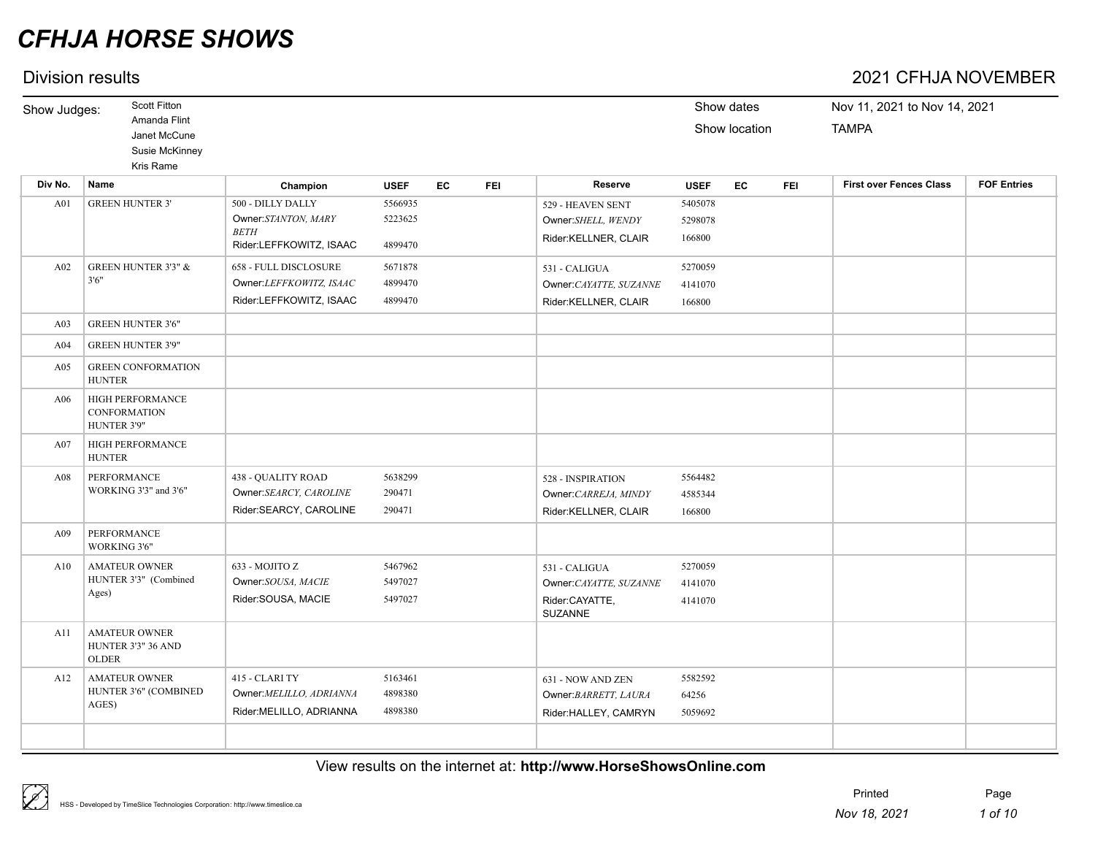## Division results 2021 CFHJA NOVEMBER

| Show Judges:    | <b>Scott Fitton</b>                                         |                                                                                    |                               |    |            |                                                                             |                               | Show dates    |            | Nov 11, 2021 to Nov 14, 2021   |                    |
|-----------------|-------------------------------------------------------------|------------------------------------------------------------------------------------|-------------------------------|----|------------|-----------------------------------------------------------------------------|-------------------------------|---------------|------------|--------------------------------|--------------------|
|                 | Amanda Flint<br>Janet McCune<br>Susie McKinney<br>Kris Rame |                                                                                    |                               |    |            |                                                                             |                               | Show location |            | <b>TAMPA</b>                   |                    |
| Div No.         | <b>Name</b>                                                 | Champion                                                                           | <b>USEF</b>                   | EC | <b>FEI</b> | Reserve                                                                     | <b>USEF</b>                   | EC            | <b>FEI</b> | <b>First over Fences Class</b> | <b>FOF Entries</b> |
| A01             | <b>GREEN HUNTER 3'</b>                                      | 500 - DILLY DALLY<br>Owner:STANTON, MARY<br><b>BETH</b><br>Rider:LEFFKOWITZ, ISAAC | 5566935<br>5223625<br>4899470 |    |            | 529 - HEAVEN SENT<br>Owner:SHELL, WENDY<br>Rider:KELLNER, CLAIR             | 5405078<br>5298078<br>166800  |               |            |                                |                    |
| A02             | <b>GREEN HUNTER 3'3" &amp;</b><br>3'6''                     | 658 - FULL DISCLOSURE<br>Owner:LEFFKOWITZ, ISAAC<br>Rider:LEFFKOWITZ, ISAAC        | 5671878<br>4899470<br>4899470 |    |            | 531 - CALIGUA<br>Owner:CAYATTE, SUZANNE<br>Rider:KELLNER, CLAIR             | 5270059<br>4141070<br>166800  |               |            |                                |                    |
| A03             | <b>GREEN HUNTER 3'6"</b>                                    |                                                                                    |                               |    |            |                                                                             |                               |               |            |                                |                    |
| A <sub>04</sub> | <b>GREEN HUNTER 3'9"</b>                                    |                                                                                    |                               |    |            |                                                                             |                               |               |            |                                |                    |
| A05             | <b>GREEN CONFORMATION</b><br><b>HUNTER</b>                  |                                                                                    |                               |    |            |                                                                             |                               |               |            |                                |                    |
| A06             | HIGH PERFORMANCE<br>CONFORMATION<br>HUNTER 3'9"             |                                                                                    |                               |    |            |                                                                             |                               |               |            |                                |                    |
| A07             | <b>HIGH PERFORMANCE</b><br><b>HUNTER</b>                    |                                                                                    |                               |    |            |                                                                             |                               |               |            |                                |                    |
| A08             | PERFORMANCE<br>WORKING 3'3" and 3'6"                        | 438 - QUALITY ROAD<br>Owner:SEARCY, CAROLINE<br>Rider:SEARCY, CAROLINE             | 5638299<br>290471<br>290471   |    |            | 528 - INSPIRATION<br>Owner: CARREJA, MINDY<br>Rider:KELLNER, CLAIR          | 5564482<br>4585344<br>166800  |               |            |                                |                    |
| A09             | PERFORMANCE<br>WORKING 3'6"                                 |                                                                                    |                               |    |            |                                                                             |                               |               |            |                                |                    |
| A10             | <b>AMATEUR OWNER</b><br>HUNTER 3'3" (Combined<br>Ages)      | 633 - MOJITO Z<br>Owner:SOUSA, MACIE<br>Rider:SOUSA, MACIE                         | 5467962<br>5497027<br>5497027 |    |            | 531 - CALIGUA<br>Owner:CAYATTE, SUZANNE<br>Rider:CAYATTE,<br><b>SUZANNE</b> | 5270059<br>4141070<br>4141070 |               |            |                                |                    |
| A11             | <b>AMATEUR OWNER</b><br>HUNTER 3'3" 36 AND<br><b>OLDER</b>  |                                                                                    |                               |    |            |                                                                             |                               |               |            |                                |                    |
| A12             | <b>AMATEUR OWNER</b><br>HUNTER 3'6" (COMBINED<br>AGES)      | 415 - CLARI TY<br>Owner:MELILLO, ADRIANNA<br>Rider:MELILLO, ADRIANNA               | 5163461<br>4898380<br>4898380 |    |            | 631 - NOW AND ZEN<br>Owner: BARRETT, LAURA<br>Rider:HALLEY, CAMRYN          | 5582592<br>64256<br>5059692   |               |            |                                |                    |
|                 |                                                             |                                                                                    |                               |    |            |                                                                             |                               |               |            |                                |                    |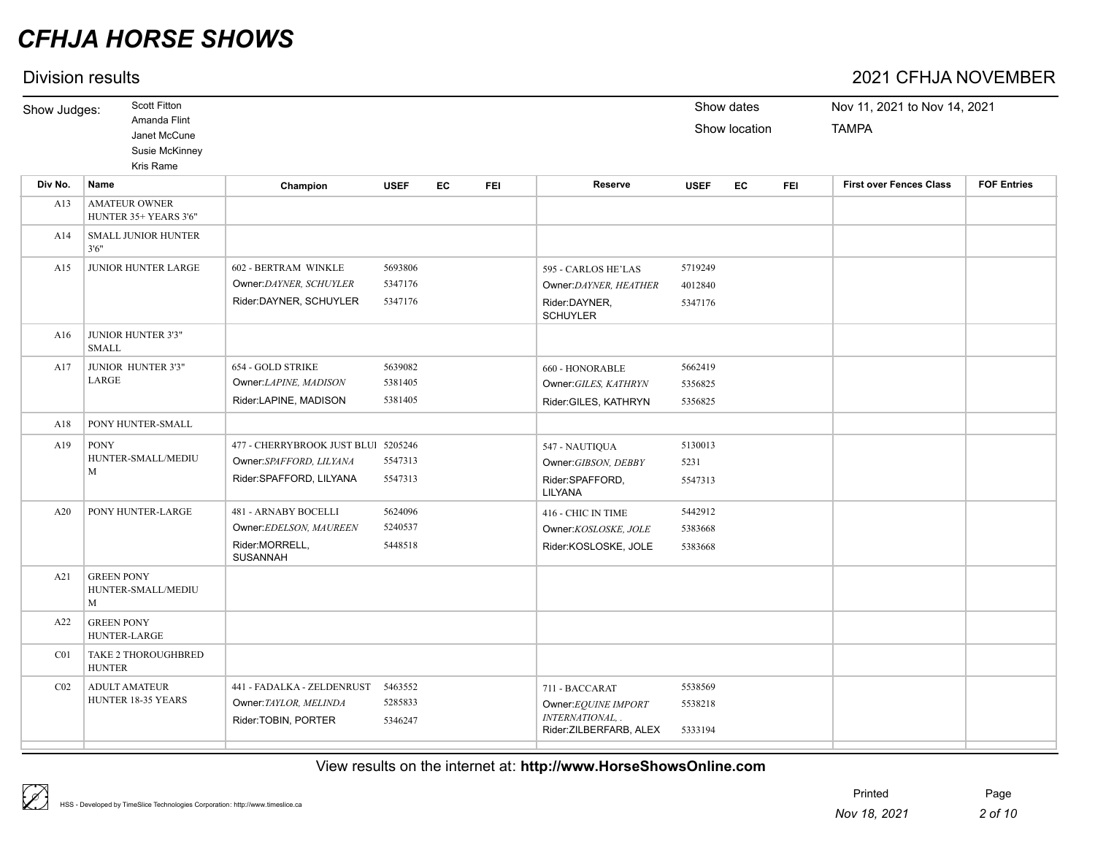## Division results 2021 CFHJA NOVEMBER

| prvioivit i oodito |                                                             |                                     |             |    |            |                                             |             |               |            | _________________________      |                    |
|--------------------|-------------------------------------------------------------|-------------------------------------|-------------|----|------------|---------------------------------------------|-------------|---------------|------------|--------------------------------|--------------------|
| Show Judges:       | <b>Scott Fitton</b>                                         |                                     |             |    |            |                                             | Show dates  |               |            | Nov 11, 2021 to Nov 14, 2021   |                    |
|                    | Amanda Flint<br>Janet McCune<br>Susie McKinney<br>Kris Rame |                                     |             |    |            |                                             |             | Show location |            | <b>TAMPA</b>                   |                    |
| Div No.            | Name                                                        | Champion                            | <b>USEF</b> | EC | <b>FEI</b> | Reserve                                     | <b>USEF</b> | EC            | <b>FEI</b> | <b>First over Fences Class</b> | <b>FOF Entries</b> |
| A13                | <b>AMATEUR OWNER</b><br>HUNTER 35+ YEARS 3'6"               |                                     |             |    |            |                                             |             |               |            |                                |                    |
| A14                | <b>SMALL JUNIOR HUNTER</b><br>3'6''                         |                                     |             |    |            |                                             |             |               |            |                                |                    |
| A15                | JUNIOR HUNTER LARGE                                         | 602 - BERTRAM WINKLE                | 5693806     |    |            | 595 - CARLOS HE'LAS                         | 5719249     |               |            |                                |                    |
|                    |                                                             | Owner:DAYNER, SCHUYLER              | 5347176     |    |            | Owner:DAYNER, HEATHER                       | 4012840     |               |            |                                |                    |
|                    |                                                             | Rider:DAYNER, SCHUYLER              | 5347176     |    |            | Rider:DAYNER,<br><b>SCHUYLER</b>            | 5347176     |               |            |                                |                    |
| A16                | JUNIOR HUNTER 3'3"<br><b>SMALL</b>                          |                                     |             |    |            |                                             |             |               |            |                                |                    |
| A17                | JUNIOR HUNTER 3'3"                                          | 654 - GOLD STRIKE                   | 5639082     |    |            | 660 - HONORABLE                             | 5662419     |               |            |                                |                    |
|                    | LARGE                                                       | Owner:LAPINE, MADISON               | 5381405     |    |            | Owner: GILES, KATHRYN                       | 5356825     |               |            |                                |                    |
|                    |                                                             | Rider:LAPINE, MADISON               | 5381405     |    |            | Rider:GILES, KATHRYN                        | 5356825     |               |            |                                |                    |
| A18                | PONY HUNTER-SMALL                                           |                                     |             |    |            |                                             |             |               |            |                                |                    |
| A19                | <b>PONY</b>                                                 | 477 - CHERRYBROOK JUST BLUI 5205246 |             |    |            | 547 - NAUTIQUA                              | 5130013     |               |            |                                |                    |
|                    | HUNTER-SMALL/MEDIU                                          | Owner:SPAFFORD, LILYANA             | 5547313     |    |            | Owner: GIBSON, DEBBY                        | 5231        |               |            |                                |                    |
|                    | M                                                           | Rider:SPAFFORD, LILYANA             | 5547313     |    |            | Rider:SPAFFORD,<br>LILYANA                  | 5547313     |               |            |                                |                    |
| A20                | PONY HUNTER-LARGE                                           | 481 - ARNABY BOCELLI                | 5624096     |    |            | 416 - CHIC IN TIME                          | 5442912     |               |            |                                |                    |
|                    |                                                             | Owner:EDELSON, MAUREEN              | 5240537     |    |            | Owner:KOSLOSKE, JOLE                        | 5383668     |               |            |                                |                    |
|                    |                                                             | Rider:MORRELL,<br><b>SUSANNAH</b>   | 5448518     |    |            | Rider:KOSLOSKE, JOLE                        | 5383668     |               |            |                                |                    |
| A21                | <b>GREEN PONY</b><br>HUNTER-SMALL/MEDIU<br>M                |                                     |             |    |            |                                             |             |               |            |                                |                    |
| A22                | <b>GREEN PONY</b><br>HUNTER-LARGE                           |                                     |             |    |            |                                             |             |               |            |                                |                    |
| C <sub>01</sub>    | TAKE 2 THOROUGHBRED<br><b>HUNTER</b>                        |                                     |             |    |            |                                             |             |               |            |                                |                    |
| CO <sub>2</sub>    | <b>ADULT AMATEUR</b>                                        | 441 - FADALKA - ZELDENRUST          | 5463552     |    |            | 711 - BACCARAT                              | 5538569     |               |            |                                |                    |
|                    | HUNTER 18-35 YEARS                                          | Owner: TAYLOR, MELINDA              | 5285833     |    |            | Owner:EQUINE IMPORT                         | 5538218     |               |            |                                |                    |
|                    |                                                             | Rider:TOBIN, PORTER                 | 5346247     |    |            | INTERNATIONAL, .<br>Rider: ZILBERFARB, ALEX | 5333194     |               |            |                                |                    |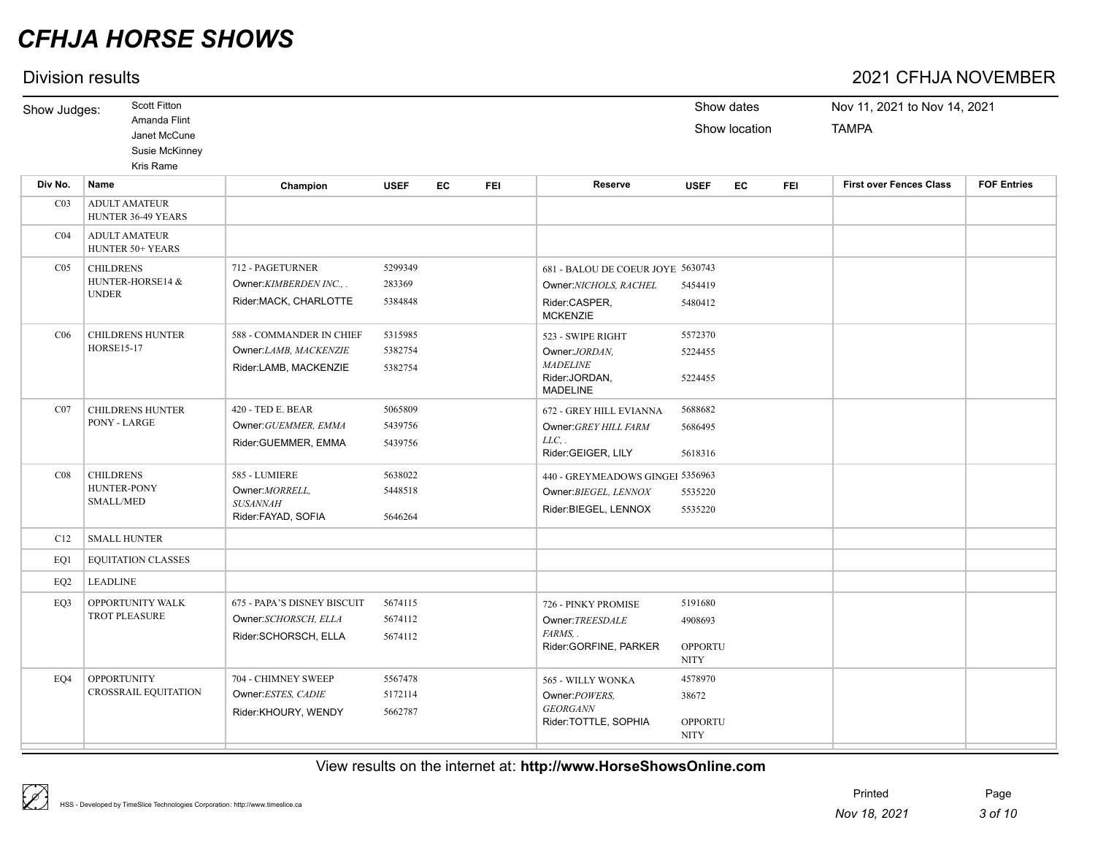|                 | Division results                                                                   |                                       |             |    |            |                                                     |             |                             |            | 2021 CFHJA NOVEMBER                          |                    |
|-----------------|------------------------------------------------------------------------------------|---------------------------------------|-------------|----|------------|-----------------------------------------------------|-------------|-----------------------------|------------|----------------------------------------------|--------------------|
| Show Judges:    | <b>Scott Fitton</b><br>Amanda Flint<br>Janet McCune<br>Susie McKinney<br>Kris Rame |                                       |             |    |            |                                                     |             | Show dates<br>Show location |            | Nov 11, 2021 to Nov 14, 2021<br><b>TAMPA</b> |                    |
| Div No.         | Name                                                                               | Champion                              | <b>USEF</b> | EC | <b>FEI</b> | Reserve                                             | <b>USEF</b> | EC                          | <b>FEI</b> | <b>First over Fences Class</b>               | <b>FOF Entries</b> |
| CO <sub>3</sub> | <b>ADULT AMATEUR</b><br>HUNTER 36-49 YEARS                                         |                                       |             |    |            |                                                     |             |                             |            |                                              |                    |
| CO <sub>4</sub> | <b>ADULT AMATEUR</b><br><b>HUNTER 50+ YEARS</b>                                    |                                       |             |    |            |                                                     |             |                             |            |                                              |                    |
| CO <sub>5</sub> | <b>CHILDRENS</b>                                                                   | 712 - PAGETURNER                      | 5299349     |    |            | 681 - BALOU DE COEUR JOYE 5630743                   |             |                             |            |                                              |                    |
|                 | HUNTER-HORSE14 &                                                                   | Owner: KIMBERDEN INC                  | 283369      |    |            | Owner:NICHOLS, RACHEL                               | 5454419     |                             |            |                                              |                    |
|                 | <b>UNDER</b>                                                                       | Rider:MACK, CHARLOTTE                 | 5384848     |    |            | Rider:CASPER,<br><b>MCKENZIE</b>                    | 5480412     |                             |            |                                              |                    |
| C <sub>06</sub> | <b>CHILDRENS HUNTER</b>                                                            | 588 - COMMANDER IN CHIEF              | 5315985     |    |            | 523 - SWIPE RIGHT                                   | 5572370     |                             |            |                                              |                    |
|                 | <b>HORSE15-17</b>                                                                  | Owner:LAMB, MACKENZIE                 | 5382754     |    |            | Owner:JORDAN.                                       | 5224455     |                             |            |                                              |                    |
|                 |                                                                                    | Rider:LAMB, MACKENZIE                 | 5382754     |    |            | <b>MADELINE</b><br>Rider:JORDAN,<br><b>MADELINE</b> | 5224455     |                             |            |                                              |                    |
| CO7             | <b>CHILDRENS HUNTER</b>                                                            | 420 - TED E. BEAR                     | 5065809     |    |            | <b>672 - GREY HILL EVIANNA</b>                      | 5688682     |                             |            |                                              |                    |
|                 | PONY - LARGE                                                                       | Owner: GUEMMER, EMMA                  | 5439756     |    |            | Owner: GREY HILL FARM                               | 5686495     |                             |            |                                              |                    |
|                 |                                                                                    | Rider:GUEMMER, EMMA                   | 5439756     |    |            | $LLC$ , .<br>Rider:GEIGER, LILY                     | 5618316     |                             |            |                                              |                    |
| CO8             | <b>CHILDRENS</b>                                                                   | 585 - LUMIERE                         | 5638022     |    |            | 440 - GREYMEADOWS GINGEI 5356963                    |             |                             |            |                                              |                    |
|                 | HUNTER-PONY                                                                        | Owner: MORRELL,                       | 5448518     |    |            | Owner: BIEGEL, LENNOX                               | 5535220     |                             |            |                                              |                    |
|                 | <b>SMALL/MED</b>                                                                   | <b>SUSANNAH</b><br>Rider:FAYAD, SOFIA | 5646264     |    |            | Rider:BIEGEL, LENNOX                                | 5535220     |                             |            |                                              |                    |
| C12             | <b>SMALL HUNTER</b>                                                                |                                       |             |    |            |                                                     |             |                             |            |                                              |                    |
| EO1             | <b>EQUITATION CLASSES</b>                                                          |                                       |             |    |            |                                                     |             |                             |            |                                              |                    |

View results on the internet at: **http://www.HorseShowsOnline.com**

Owner:*TREESDALE* 

Owner:*POWERS, GEORGANN*

Rider:GORFINE, PARKER OPPORTU

Rider:TOTTLE, SOPHIA OPPORTU

4908693

NITY

38672

NITY

*FARMS, .*

EQ3 OPPORTUNITY WALK 675 - PAPA'S DISNEY BISCUIT 5674115 726 - PINKY PROMISE 5191680

EQ4 OPPORTUNITY 704 - CHIMNEY SWEEP 5567478 565 - WILLY WONKA 4578970

Owner:*SCHORSCH, ELLA* 5674112 Rider:SCHORSCH, ELLA 5674112

704 - CHIMNEY SWEEP 5567478 Owner:*ESTES, CADIE* 5172114 Rider:KHOURY, WENDY 5662787

EQ2 LEADLINE

 $\mathbb{Z}$ 

OPPORTUNITY WALK TROT PLEASURE

**OPPORTUNITY** CROSSRAIL EQUITATION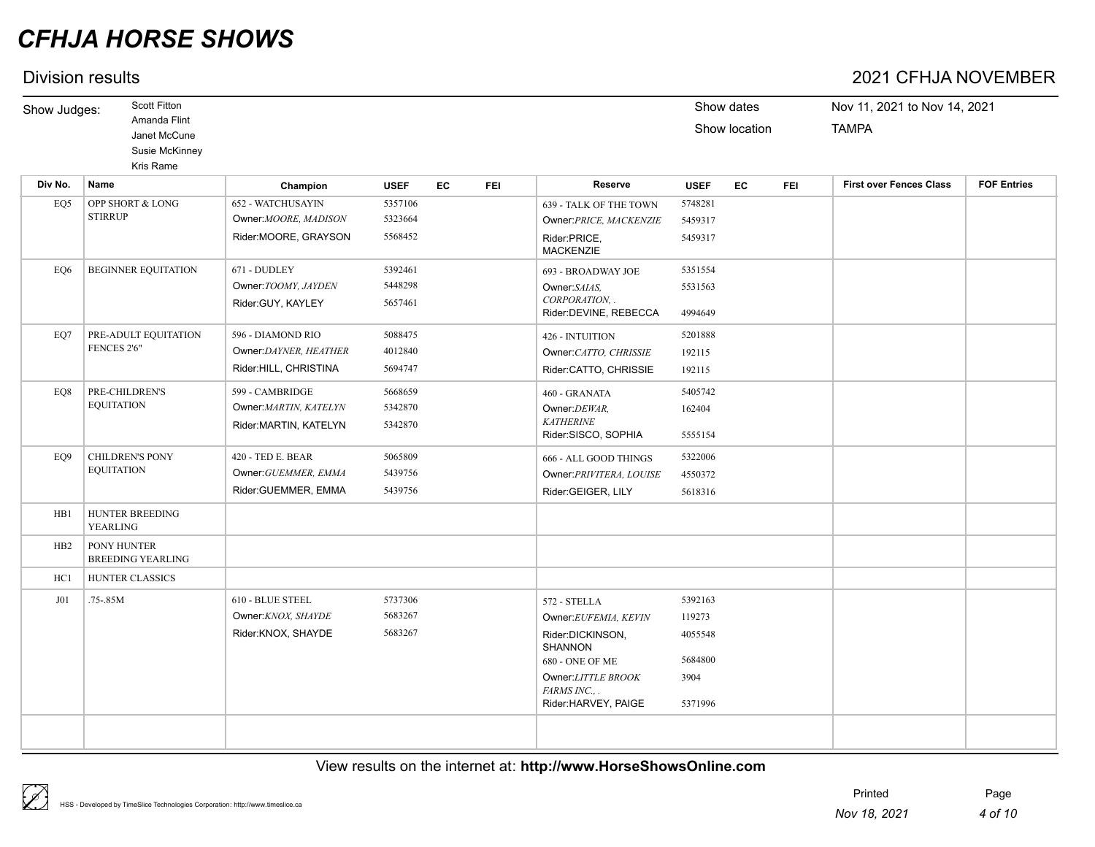|                 | Division results                                                                   |                        |             |    |            |                                                            |                 |                             |            | 2021 CFHJA NOVEMBER                          |                    |
|-----------------|------------------------------------------------------------------------------------|------------------------|-------------|----|------------|------------------------------------------------------------|-----------------|-----------------------------|------------|----------------------------------------------|--------------------|
| Show Judges:    | <b>Scott Fitton</b><br>Amanda Flint<br>Janet McCune<br>Susie McKinney<br>Kris Rame |                        |             |    |            |                                                            |                 | Show dates<br>Show location |            | Nov 11, 2021 to Nov 14, 2021<br><b>TAMPA</b> |                    |
| Div No.         | Name                                                                               | Champion               | <b>USEF</b> | EC | <b>FEI</b> | Reserve                                                    | <b>USEF</b>     | EC                          | <b>FEI</b> | <b>First over Fences Class</b>               | <b>FOF Entries</b> |
| EQ5             | OPP SHORT & LONG                                                                   | 652 - WATCHUSAYIN      | 5357106     |    |            | 639 - TALK OF THE TOWN                                     | 5748281         |                             |            |                                              |                    |
|                 | <b>STIRRUP</b>                                                                     | Owner: MOORE, MADISON  | 5323664     |    |            | Owner: PRICE, MACKENZIE                                    | 5459317         |                             |            |                                              |                    |
|                 |                                                                                    | Rider:MOORE, GRAYSON   | 5568452     |    |            | Rider:PRICE,<br><b>MACKENZIE</b>                           | 5459317         |                             |            |                                              |                    |
| EO <sub>6</sub> | <b>BEGINNER EQUITATION</b>                                                         | 671 - DUDLEY           | 5392461     |    |            | 693 - BROADWAY JOE                                         | 5351554         |                             |            |                                              |                    |
|                 |                                                                                    | Owner: TOOMY, JAYDEN   | 5448298     |    |            | Owner:SAIAS,                                               | 5531563         |                             |            |                                              |                    |
|                 |                                                                                    | Rider:GUY, KAYLEY      | 5657461     |    |            | CORPORATION, .<br>Rider:DEVINE, REBECCA                    | 4994649         |                             |            |                                              |                    |
| EO7             | PRE-ADULT EQUITATION                                                               | 596 - DIAMOND RIO      | 5088475     |    |            | 426 - INTUITION                                            | 5201888         |                             |            |                                              |                    |
|                 | FENCES 2'6"                                                                        | Owner:DAYNER, HEATHER  | 4012840     |    |            | Owner:CATTO, CHRISSIE                                      | 192115          |                             |            |                                              |                    |
|                 |                                                                                    | Rider:HILL, CHRISTINA  | 5694747     |    |            | Rider:CATTO, CHRISSIE                                      | 192115          |                             |            |                                              |                    |
| EQ8             | PRE-CHILDREN'S                                                                     | 599 - CAMBRIDGE        | 5668659     |    |            | 460 - GRANATA                                              | 5405742         |                             |            |                                              |                    |
|                 | <b>EQUITATION</b>                                                                  | Owner: MARTIN, KATELYN | 5342870     |    |            | Owner:DEWAR,                                               | 162404          |                             |            |                                              |                    |
|                 |                                                                                    | Rider: MARTIN, KATELYN | 5342870     |    |            | <b>KATHERINE</b><br>Rider:SISCO, SOPHIA                    | 5555154         |                             |            |                                              |                    |
| EO <sub>9</sub> | <b>CHILDREN'S PONY</b>                                                             | 420 - TED E. BEAR      | 5065809     |    |            | 666 - ALL GOOD THINGS                                      | 5322006         |                             |            |                                              |                    |
|                 | <b>EQUITATION</b>                                                                  | Owner: GUEMMER, EMMA   | 5439756     |    |            | Owner: PRIVITERA, LOUISE                                   | 4550372         |                             |            |                                              |                    |
|                 |                                                                                    | Rider:GUEMMER, EMMA    | 5439756     |    |            | Rider:GEIGER, LILY                                         | 5618316         |                             |            |                                              |                    |
| HB1             | <b>HUNTER BREEDING</b><br>YEARLING                                                 |                        |             |    |            |                                                            |                 |                             |            |                                              |                    |
| HB2             | PONY HUNTER<br><b>BREEDING YEARLING</b>                                            |                        |             |    |            |                                                            |                 |                             |            |                                              |                    |
| HC1             | <b>HUNTER CLASSICS</b>                                                             |                        |             |    |            |                                                            |                 |                             |            |                                              |                    |
| J <sub>01</sub> | $.75 - .85M$                                                                       | 610 - BLUE STEEL       | 5737306     |    |            | 572 - STELLA                                               | 5392163         |                             |            |                                              |                    |
|                 |                                                                                    | Owner:KNOX, SHAYDE     | 5683267     |    |            | Owner:EUFEMIA, KEVIN                                       | 119273          |                             |            |                                              |                    |
|                 |                                                                                    | Rider:KNOX, SHAYDE     | 5683267     |    |            | Rider:DICKINSON,<br><b>SHANNON</b>                         | 4055548         |                             |            |                                              |                    |
|                 |                                                                                    |                        |             |    |            | <b>680 - ONE OF ME</b>                                     | 5684800         |                             |            |                                              |                    |
|                 |                                                                                    |                        |             |    |            | Owner:LITTLE BROOK<br>FARMS INC., .<br>Rider:HARVEY, PAIGE | 3904<br>5371996 |                             |            |                                              |                    |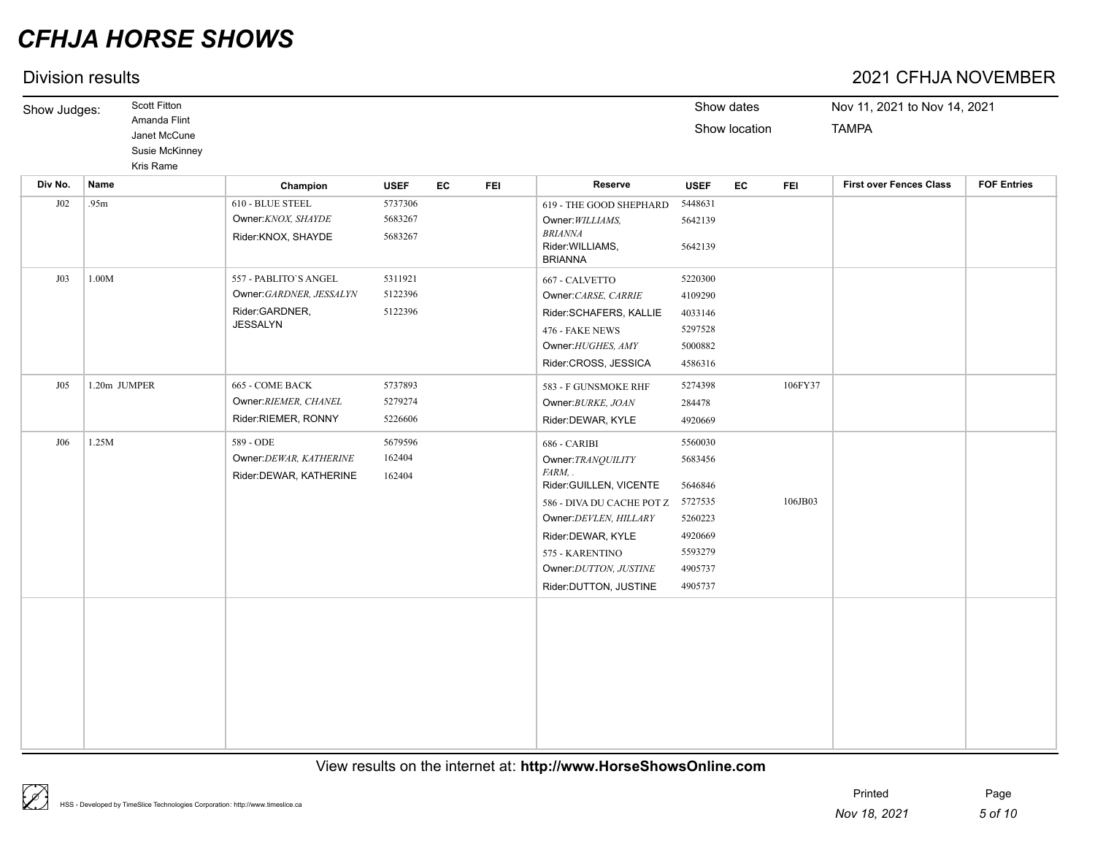## Division results 2021 CFHJA NOVEMBER

| Show Judges: | <b>Scott Fitton</b>                                         |                                                                                       |                               |    |            |                                                                                                                                                                                                                           |                                                                                                 | Show dates    |            | Nov 11, 2021 to Nov 14, 2021   |                    |
|--------------|-------------------------------------------------------------|---------------------------------------------------------------------------------------|-------------------------------|----|------------|---------------------------------------------------------------------------------------------------------------------------------------------------------------------------------------------------------------------------|-------------------------------------------------------------------------------------------------|---------------|------------|--------------------------------|--------------------|
|              | Amanda Flint<br>Janet McCune<br>Susie McKinney<br>Kris Rame |                                                                                       |                               |    |            |                                                                                                                                                                                                                           |                                                                                                 | Show location |            | <b>TAMPA</b>                   |                    |
| Div No.      | Name                                                        | Champion                                                                              | <b>USEF</b>                   | EC | <b>FEI</b> | Reserve                                                                                                                                                                                                                   | <b>USEF</b>                                                                                     | EC            | <b>FEI</b> | <b>First over Fences Class</b> | <b>FOF Entries</b> |
| J02          | .95m                                                        | 610 - BLUE STEEL<br>Owner:KNOX, SHAYDE<br>Rider:KNOX, SHAYDE                          | 5737306<br>5683267<br>5683267 |    |            | 619 - THE GOOD SHEPHARD<br>Owner: WILLIAMS,<br><b>BRIANNA</b><br>Rider: WILLIAMS,<br><b>BRIANNA</b>                                                                                                                       | 5448631<br>5642139<br>5642139                                                                   |               |            |                                |                    |
| J03          | 1.00M                                                       | 557 - PABLITO'S ANGEL<br>Owner:GARDNER, JESSALYN<br>Rider:GARDNER,<br><b>JESSALYN</b> | 5311921<br>5122396<br>5122396 |    |            | 667 - CALVETTO<br>Owner: CARSE, CARRIE<br>Rider:SCHAFERS, KALLIE<br>476 - FAKE NEWS<br>Owner: HUGHES, AMY<br>Rider:CROSS, JESSICA                                                                                         | 5220300<br>4109290<br>4033146<br>5297528<br>5000882<br>4586316                                  |               |            |                                |                    |
| J05          | 1.20m JUMPER                                                | 665 - COME BACK<br>Owner: RIEMER, CHANEL<br>Rider:RIEMER, RONNY                       | 5737893<br>5279274<br>5226606 |    |            | 583 - F GUNSMOKE RHF<br>Owner: BURKE, JOAN<br>Rider:DEWAR, KYLE                                                                                                                                                           | 5274398<br>284478<br>4920669                                                                    |               | 106FY37    |                                |                    |
| J06          | 1.25M                                                       | 589 - ODE<br>Owner: DEWAR, KATHERINE<br>Rider: DEWAR, KATHERINE                       | 5679596<br>162404<br>162404   |    |            | 686 - CARIBI<br>Owner: TRANQUILITY<br>FARM, .<br>Rider:GUILLEN, VICENTE<br>586 - DIVA DU CACHE POT Z<br>Owner: DEVLEN, HILLARY<br>Rider:DEWAR, KYLE<br>575 - KARENTINO<br>Owner: DUTTON, JUSTINE<br>Rider:DUTTON, JUSTINE | 5560030<br>5683456<br>5646846<br>5727535<br>5260223<br>4920669<br>5593279<br>4905737<br>4905737 |               | 106JB03    |                                |                    |
|              |                                                             |                                                                                       |                               |    |            |                                                                                                                                                                                                                           |                                                                                                 |               |            |                                |                    |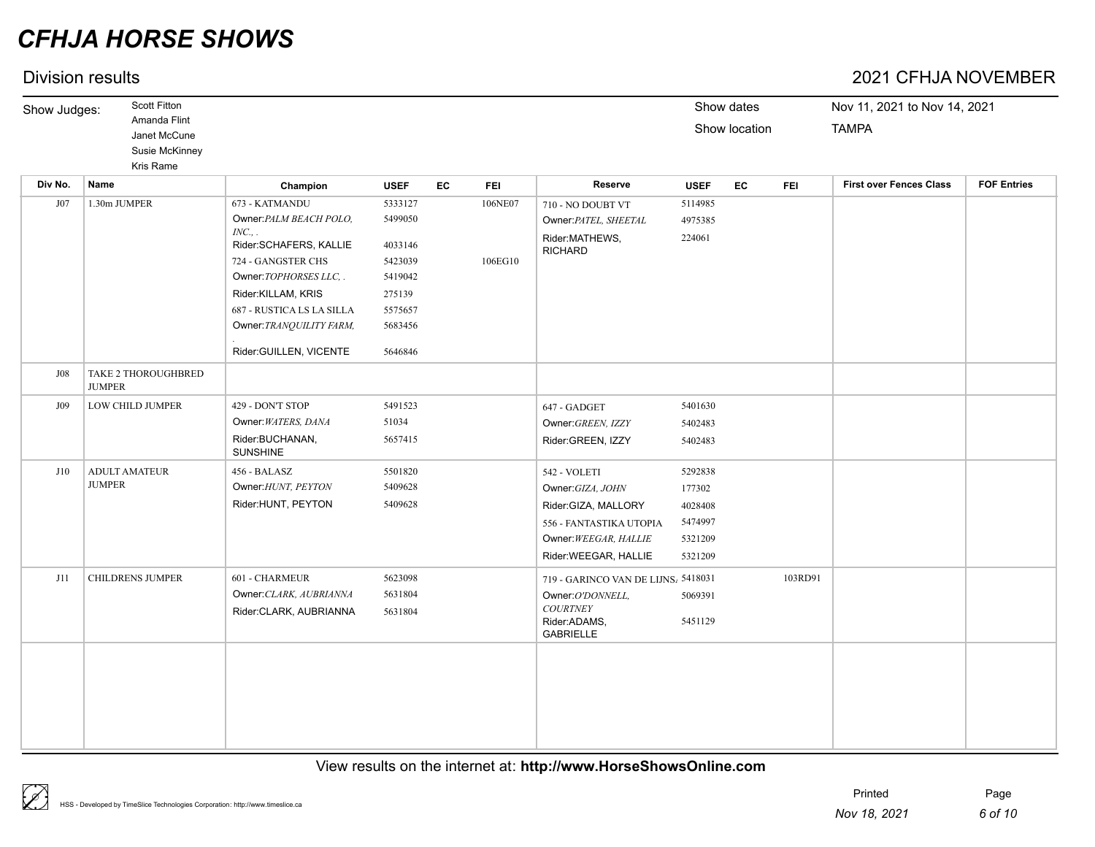## Division results 2021 CFHJA NOVEMBER

| Show Judges:    | <b>Scott Fitton</b><br>Amanda Flint<br>Janet McCune<br>Susie McKinney<br>Kris Rame |          |             |    |            |         |             | Show dates<br>Show location |            | Nov 11, 2021 to Nov 14, 2021<br><b>TAMPA</b> |                    |
|-----------------|------------------------------------------------------------------------------------|----------|-------------|----|------------|---------|-------------|-----------------------------|------------|----------------------------------------------|--------------------|
| Div No.<br>Name |                                                                                    | Champion | <b>USEF</b> | EC | <b>FEI</b> | Reserve | <b>USEF</b> | EC                          | <b>FEI</b> | <b>First over Fences Class</b>               | <b>FOF Entries</b> |

| <b>DIA MO.</b> | name                                        | Champion                           | USEF    | EG.<br>FEL | <b>Reserve</b>                      | <b>USEF</b> | EG | FEL     | <b>FIRST OVER FERCES CRISS</b> | <b>FULLE</b> |
|----------------|---------------------------------------------|------------------------------------|---------|------------|-------------------------------------|-------------|----|---------|--------------------------------|--------------|
| J07            | 1.30m JUMPER                                | 673 - KATMANDU                     | 5333127 | 106NE07    | 710 - NO DOUBT VT                   | 5114985     |    |         |                                |              |
|                |                                             | Owner: PALM BEACH POLO,            | 5499050 |            | Owner: PATEL, SHEETAL               | 4975385     |    |         |                                |              |
|                |                                             | INC.,<br>Rider:SCHAFERS, KALLIE    | 4033146 |            | Rider:MATHEWS,<br><b>RICHARD</b>    | 224061      |    |         |                                |              |
|                |                                             | 724 - GANGSTER CHS                 | 5423039 | 106EG10    |                                     |             |    |         |                                |              |
|                |                                             | Owner: TOPHORSES LLC, .            | 5419042 |            |                                     |             |    |         |                                |              |
|                |                                             | Rider:KILLAM, KRIS                 | 275139  |            |                                     |             |    |         |                                |              |
|                |                                             | 687 - RUSTICA LS LA SILLA          | 5575657 |            |                                     |             |    |         |                                |              |
|                |                                             | Owner: TRANQUILITY FARM,           | 5683456 |            |                                     |             |    |         |                                |              |
|                |                                             | Rider:GUILLEN, VICENTE             | 5646846 |            |                                     |             |    |         |                                |              |
| J08            | <b>TAKE 2 THOROUGHBRED</b><br><b>JUMPER</b> |                                    |         |            |                                     |             |    |         |                                |              |
| J09            | <b>LOW CHILD JUMPER</b>                     | 429 - DON'T STOP                   | 5491523 |            | 647 - GADGET                        | 5401630     |    |         |                                |              |
|                |                                             | Owner: WATERS, DANA                | 51034   |            | Owner: GREEN, IZZY                  | 5402483     |    |         |                                |              |
|                |                                             | Rider:BUCHANAN,<br><b>SUNSHINE</b> | 5657415 |            | Rider:GREEN, IZZY                   | 5402483     |    |         |                                |              |
| J10            | <b>ADULT AMATEUR</b>                        | 456 - BALASZ                       | 5501820 |            | 542 - VOLETI                        | 5292838     |    |         |                                |              |
|                | <b>JUMPER</b>                               | Owner: HUNT, PEYTON                | 5409628 |            | Owner: GIZA, JOHN                   | 177302      |    |         |                                |              |
|                |                                             | Rider: HUNT, PEYTON                | 5409628 |            | Rider:GIZA, MALLORY                 | 4028408     |    |         |                                |              |
|                |                                             |                                    |         |            | 556 - FANTASTIKA UTOPIA             | 5474997     |    |         |                                |              |
|                |                                             |                                    |         |            | Owner: WEEGAR, HALLIE               | 5321209     |    |         |                                |              |
|                |                                             |                                    |         |            | Rider:WEEGAR, HALLIE                | 5321209     |    |         |                                |              |
| J11            | <b>CHILDRENS JUMPER</b>                     | 601 - CHARMEUR                     | 5623098 |            | 719 - GARINCO VAN DE LIJNS, 5418031 |             |    | 103RD91 |                                |              |
|                |                                             | Owner: CLARK, AUBRIANNA            | 5631804 |            | Owner:O'DONNELL,                    | 5069391     |    |         |                                |              |
|                |                                             | Rider:CLARK, AUBRIANNA             | 5631804 |            | <b>COURTNEY</b><br>Rider:ADAMS,     | 5451129     |    |         |                                |              |
|                |                                             |                                    |         |            | <b>GABRIELLE</b>                    |             |    |         |                                |              |
|                |                                             |                                    |         |            |                                     |             |    |         |                                |              |
|                |                                             |                                    |         |            |                                     |             |    |         |                                |              |
|                |                                             |                                    |         |            |                                     |             |    |         |                                |              |
|                |                                             |                                    |         |            |                                     |             |    |         |                                |              |
|                |                                             |                                    |         |            |                                     |             |    |         |                                |              |
|                |                                             |                                    |         |            |                                     |             |    |         |                                |              |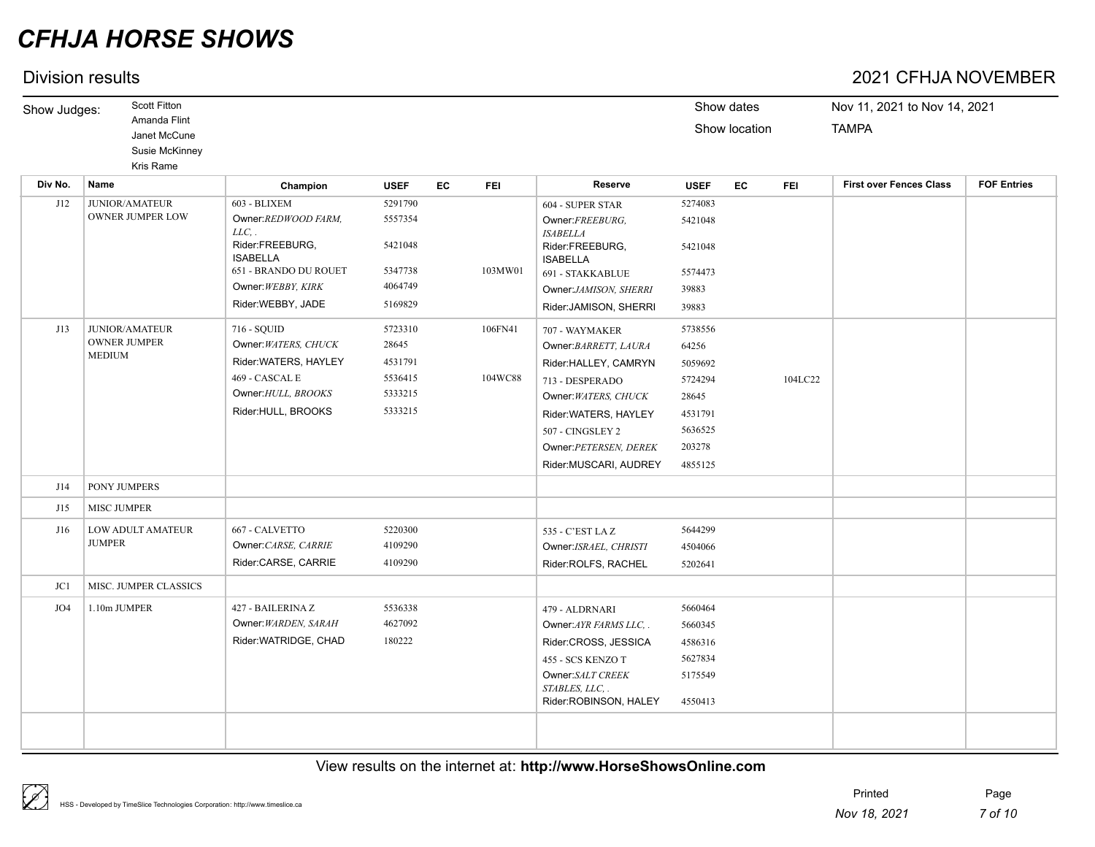## Division results 2021 CFHJA NOVEMBER

| Show Judges: | <b>Scott Fitton</b><br>Amanda Flint<br>Janet McCune | Show dates<br>Show location | Nov 11, 2021 to Nov 14, 2021<br><b>TAMPA</b> |
|--------------|-----------------------------------------------------|-----------------------------|----------------------------------------------|
|              | Susie McKinney                                      |                             |                                              |
|              | Kris Rame                                           |                             |                                              |

| Div No. | Name                                 | Champion                           | <b>USEF</b> | EC<br><b>FEI</b> | Reserve                                | <b>USEF</b> | EC | <b>FEI</b> | <b>First over Fences Class</b> | <b>FOF Entries</b> |
|---------|--------------------------------------|------------------------------------|-------------|------------------|----------------------------------------|-------------|----|------------|--------------------------------|--------------------|
| J12     | <b>JUNIOR/AMATEUR</b>                | 603 - BLIXEM                       | 5291790     |                  | 604 - SUPER STAR                       | 5274083     |    |            |                                |                    |
|         | <b>OWNER JUMPER LOW</b>              | Owner:REDWOOD FARM,<br>$LLC$ , .   | 5557354     |                  | Owner:FREEBURG,<br><b>ISABELLA</b>     | 5421048     |    |            |                                |                    |
|         |                                      | Rider:FREEBURG.<br><b>ISABELLA</b> | 5421048     |                  | Rider:FREEBURG,<br><b>ISABELLA</b>     | 5421048     |    |            |                                |                    |
|         |                                      | 651 - BRANDO DU ROUET              | 5347738     | 103MW01          | 691 - STAKKABLUE                       | 5574473     |    |            |                                |                    |
|         |                                      | Owner: WEBBY, KIRK                 | 4064749     |                  | Owner:JAMISON, SHERRI                  | 39883       |    |            |                                |                    |
|         |                                      | Rider:WEBBY, JADE                  | 5169829     |                  | Rider: JAMISON, SHERRI                 | 39883       |    |            |                                |                    |
| J13     | <b>JUNIOR/AMATEUR</b>                | 716 - SQUID                        | 5723310     | 106FN41          | 707 - WAYMAKER                         | 5738556     |    |            |                                |                    |
|         | <b>OWNER JUMPER</b><br><b>MEDIUM</b> | Owner: WATERS, CHUCK               | 28645       |                  | Owner: BARRETT, LAURA                  | 64256       |    |            |                                |                    |
|         |                                      | Rider: WATERS, HAYLEY              | 4531791     |                  | Rider:HALLEY, CAMRYN                   | 5059692     |    |            |                                |                    |
|         |                                      | 469 - CASCAL E                     | 5536415     | 104WC88          | 713 - DESPERADO                        | 5724294     |    | 104LC22    |                                |                    |
|         |                                      | Owner: HULL, BROOKS                | 5333215     |                  | Owner: WATERS, CHUCK                   | 28645       |    |            |                                |                    |
|         |                                      | Rider:HULL, BROOKS                 | 5333215     |                  | Rider: WATERS, HAYLEY                  | 4531791     |    |            |                                |                    |
|         |                                      |                                    |             |                  | 507 - CINGSLEY 2                       | 5636525     |    |            |                                |                    |
|         |                                      |                                    |             |                  | Owner: PETERSEN, DEREK                 | 203278      |    |            |                                |                    |
|         |                                      |                                    |             |                  | Rider: MUSCARI, AUDREY                 | 4855125     |    |            |                                |                    |
| J14     | <b>PONY JUMPERS</b>                  |                                    |             |                  |                                        |             |    |            |                                |                    |
| J15     | <b>MISC JUMPER</b>                   |                                    |             |                  |                                        |             |    |            |                                |                    |
| J16     | <b>LOW ADULT AMATEUR</b>             | 667 - CALVETTO                     | 5220300     |                  | 535 - C'EST LAZ                        | 5644299     |    |            |                                |                    |
|         | <b>JUMPER</b>                        | Owner: CARSE, CARRIE               | 4109290     |                  | Owner:ISRAEL, CHRISTI                  | 4504066     |    |            |                                |                    |
|         |                                      | Rider:CARSE, CARRIE                | 4109290     |                  | Rider:ROLFS, RACHEL                    | 5202641     |    |            |                                |                    |
| JC1     | MISC. JUMPER CLASSICS                |                                    |             |                  |                                        |             |    |            |                                |                    |
| JO4     | 1.10m JUMPER                         | 427 - BAILERINA Z                  | 5536338     |                  | 479 - ALDRNARI                         | 5660464     |    |            |                                |                    |
|         |                                      | Owner: WARDEN, SARAH               | 4627092     |                  | Owner: AYR FARMS LLC, .                | 5660345     |    |            |                                |                    |
|         |                                      | Rider:WATRIDGE, CHAD               | 180222      |                  | Rider:CROSS, JESSICA                   | 4586316     |    |            |                                |                    |
|         |                                      |                                    |             |                  | 455 - SCS KENZO T                      | 5627834     |    |            |                                |                    |
|         |                                      |                                    |             |                  | Owner:SALT CREEK                       | 5175549     |    |            |                                |                    |
|         |                                      |                                    |             |                  | STABLES, LLC.<br>Rider:ROBINSON, HALEY | 4550413     |    |            |                                |                    |
|         |                                      |                                    |             |                  |                                        |             |    |            |                                |                    |
|         |                                      |                                    |             |                  |                                        |             |    |            |                                |                    |
|         |                                      |                                    |             |                  |                                        |             |    |            |                                |                    |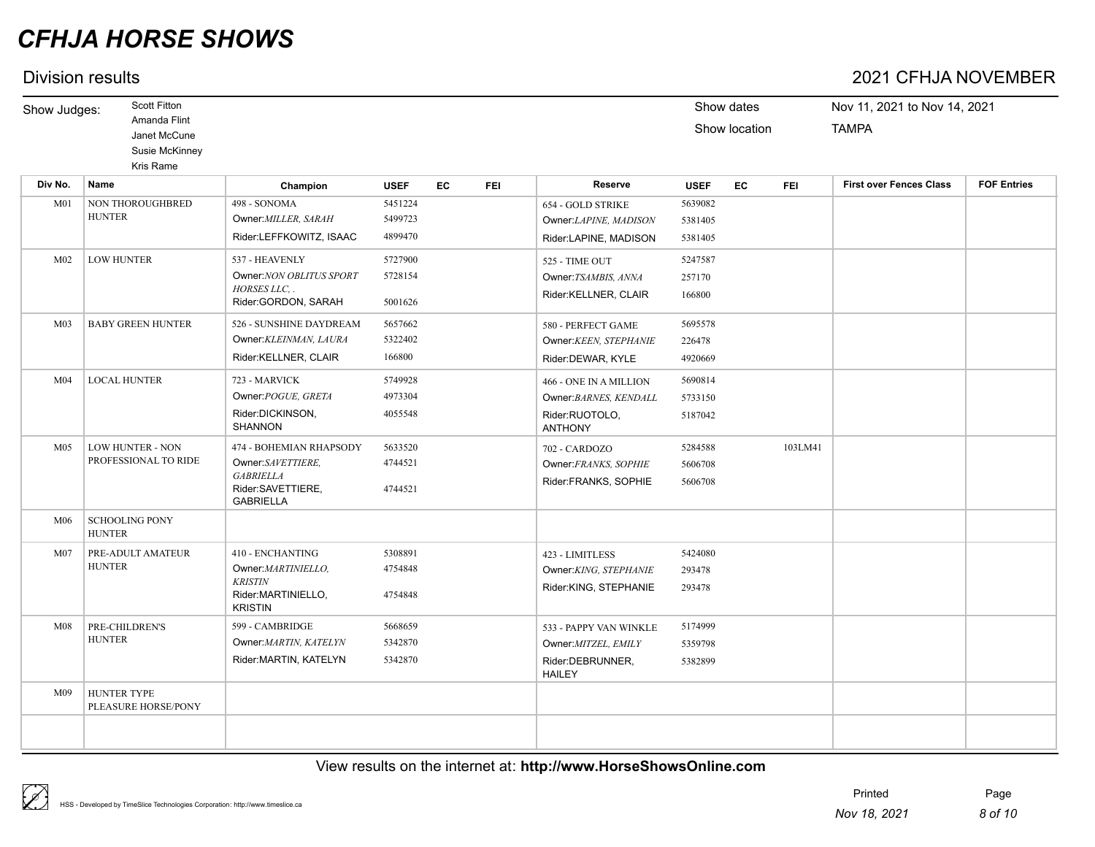## Division results 2021 CFHJA NOVEMBER

| Show dates<br>Show location<br><b>EC</b><br><b>FEI</b> | Nov 11, 2021 to Nov 14, 2021<br><b>TAMPA</b><br><b>First over Fences Class</b> | <b>FOF Entries</b> |
|--------------------------------------------------------|--------------------------------------------------------------------------------|--------------------|
|                                                        |                                                                                |                    |
|                                                        |                                                                                |                    |
|                                                        |                                                                                |                    |
|                                                        |                                                                                |                    |
|                                                        |                                                                                |                    |
|                                                        |                                                                                |                    |
|                                                        |                                                                                |                    |
|                                                        |                                                                                |                    |
|                                                        |                                                                                |                    |
|                                                        |                                                                                |                    |
|                                                        |                                                                                |                    |
|                                                        |                                                                                |                    |
|                                                        |                                                                                |                    |
|                                                        |                                                                                |                    |
|                                                        |                                                                                |                    |
| 103LM41                                                |                                                                                |                    |
|                                                        |                                                                                |                    |
|                                                        |                                                                                |                    |
|                                                        |                                                                                |                    |
|                                                        |                                                                                |                    |
|                                                        |                                                                                |                    |
|                                                        |                                                                                |                    |
|                                                        |                                                                                |                    |
|                                                        |                                                                                |                    |
|                                                        |                                                                                |                    |
|                                                        |                                                                                |                    |
|                                                        |                                                                                |                    |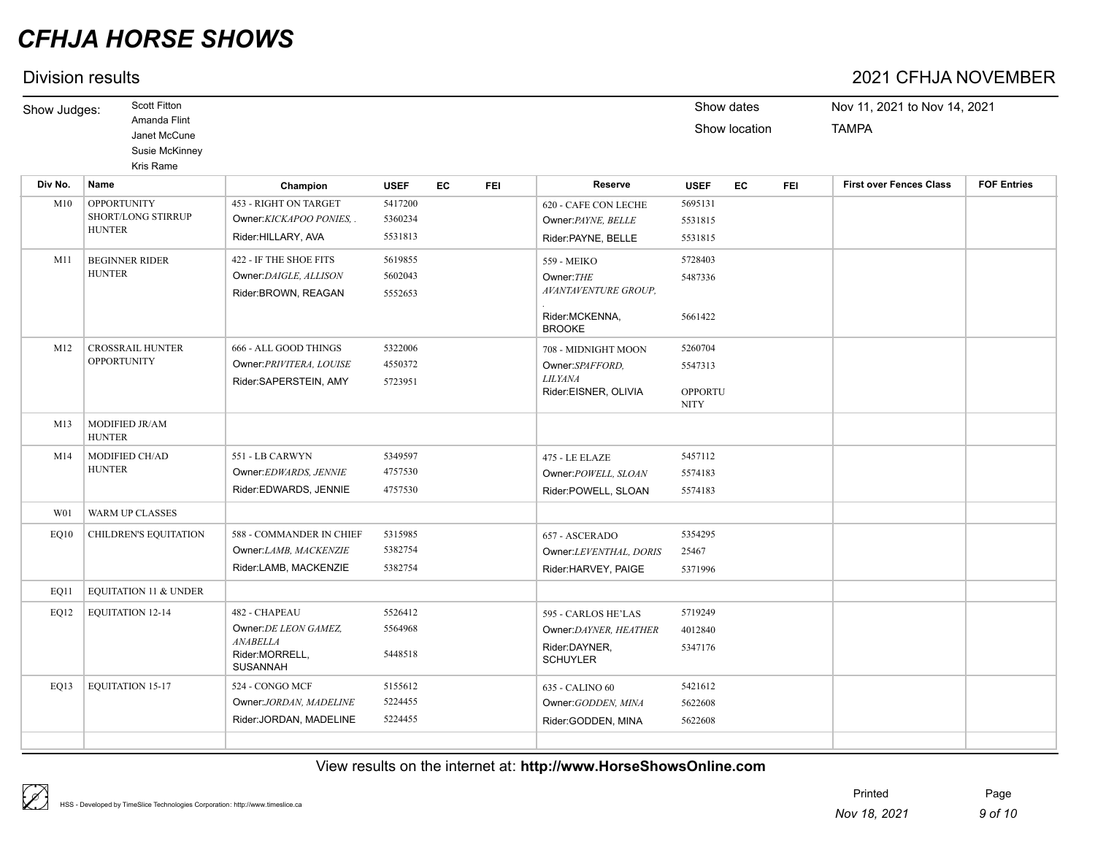## Division results 2021 CFHJA NOVEMBER

| Show Judges:     | Scott Fitton                                                     |                                                                                                |                               |           |            |                                                                                      | Show dates                                          |               |            | Nov 11, 2021 to Nov 14, 2021   |                    |  |  |
|------------------|------------------------------------------------------------------|------------------------------------------------------------------------------------------------|-------------------------------|-----------|------------|--------------------------------------------------------------------------------------|-----------------------------------------------------|---------------|------------|--------------------------------|--------------------|--|--|
|                  | Amanda Flint<br>Janet McCune<br>Susie McKinney<br>Kris Rame      |                                                                                                |                               |           |            |                                                                                      |                                                     | Show location |            | <b>TAMPA</b>                   |                    |  |  |
| Div No.          | Name                                                             | Champion                                                                                       | <b>USEF</b>                   | <b>EC</b> | <b>FEI</b> | Reserve                                                                              | <b>USEF</b>                                         | EC            | <b>FEI</b> | <b>First over Fences Class</b> | <b>FOF Entries</b> |  |  |
| M10              | <b>OPPORTUNITY</b><br><b>SHORT/LONG STIRRUP</b><br><b>HUNTER</b> | <b>453 - RIGHT ON TARGET</b><br>Owner:KICKAPOO PONIES,<br>Rider: HILLARY, AVA                  | 5417200<br>5360234<br>5531813 |           |            | 620 - CAFE CON LECHE<br>Owner: PAYNE, BELLE<br>Rider: PAYNE, BELLE                   | 5695131<br>5531815<br>5531815                       |               |            |                                |                    |  |  |
| M11              | <b>BEGINNER RIDER</b><br><b>HUNTER</b>                           | 422 - IF THE SHOE FITS<br>Owner: DAIGLE, ALLISON<br>Rider:BROWN, REAGAN                        | 5619855<br>5602043<br>5552653 |           |            | 559 - MEIKO<br>Owner: THE<br>AVANTAVENTURE GROUP,<br>Rider:MCKENNA,<br><b>BROOKE</b> | 5728403<br>5487336<br>5661422                       |               |            |                                |                    |  |  |
| M12              | <b>CROSSRAIL HUNTER</b><br><b>OPPORTUNITY</b>                    | 666 - ALL GOOD THINGS<br>Owner: PRIVITERA, LOUISE<br>Rider:SAPERSTEIN, AMY                     | 5322006<br>4550372<br>5723951 |           |            | 708 - MIDNIGHT MOON<br>Owner:SPAFFORD,<br><b>LILYANA</b><br>Rider:EISNER, OLIVIA     | 5260704<br>5547313<br><b>OPPORTU</b><br><b>NITY</b> |               |            |                                |                    |  |  |
| M13              | MODIFIED JR/AM<br><b>HUNTER</b>                                  |                                                                                                |                               |           |            |                                                                                      |                                                     |               |            |                                |                    |  |  |
| M14              | MODIFIED CH/AD<br><b>HUNTER</b>                                  | 551 - LB CARWYN<br>Owner:EDWARDS, JENNIE<br>Rider:EDWARDS, JENNIE                              | 5349597<br>4757530<br>4757530 |           |            | 475 - LE ELAZE<br>Owner:POWELL, SLOAN<br>Rider:POWELL, SLOAN                         | 5457112<br>5574183<br>5574183                       |               |            |                                |                    |  |  |
| W <sub>0</sub> 1 | <b>WARM UP CLASSES</b>                                           |                                                                                                |                               |           |            |                                                                                      |                                                     |               |            |                                |                    |  |  |
| EQ10             | CHILDREN'S EQUITATION                                            | 588 - COMMANDER IN CHIEF<br>Owner:LAMB, MACKENZIE<br>Rider:LAMB, MACKENZIE                     | 5315985<br>5382754<br>5382754 |           |            | 657 - ASCERADO<br>Owner:LEVENTHAL, DORIS<br>Rider:HARVEY, PAIGE                      | 5354295<br>25467<br>5371996                         |               |            |                                |                    |  |  |
| EO11             | <b>EQUITATION 11 &amp; UNDER</b>                                 |                                                                                                |                               |           |            |                                                                                      |                                                     |               |            |                                |                    |  |  |
| EQ12             | <b>EQUITATION 12-14</b>                                          | 482 - CHAPEAU<br>Owner: DE LEON GAMEZ,<br><b>ANABELLA</b><br>Rider:MORRELL.<br><b>SUSANNAH</b> | 5526412<br>5564968<br>5448518 |           |            | 595 - CARLOS HE'LAS<br>Owner:DAYNER, HEATHER<br>Rider:DAYNER,<br><b>SCHUYLER</b>     | 5719249<br>4012840<br>5347176                       |               |            |                                |                    |  |  |
| EQ13             | <b>EQUITATION 15-17</b>                                          | 524 - CONGO MCF<br>Owner:JORDAN, MADELINE<br>Rider: JORDAN, MADELINE                           | 5155612<br>5224455<br>5224455 |           |            | 635 - CALINO 60<br>Owner: GODDEN, MINA<br>Rider:GODDEN, MINA                         | 5421612<br>5622608<br>5622608                       |               |            |                                |                    |  |  |